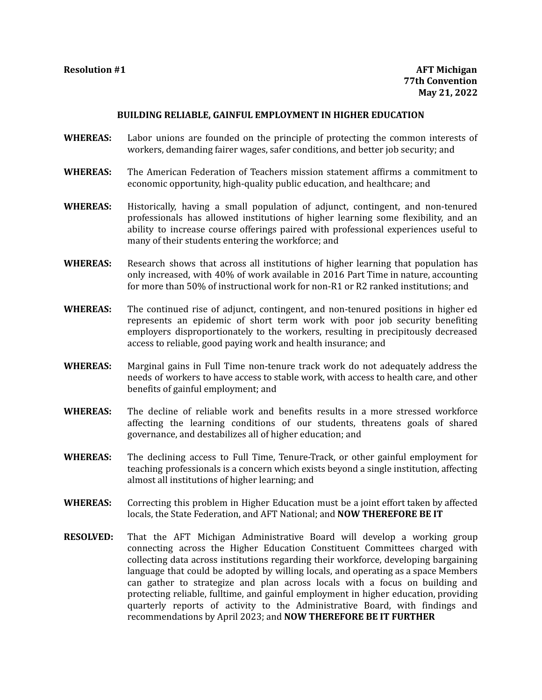## **BUILDING RELIABLE, GAINFUL EMPLOYMENT IN HIGHER EDUCATION**

- **WHEREAS:** Labor unions are founded on the principle of protecting the common interests of workers, demanding fairer wages, safer conditions, and better job security; and
- **WHEREAS:** The American Federation of Teachers mission statement affirms a commitment to economic opportunity, high-quality public education, and healthcare; and
- **WHEREAS:** Historically, having a small population of adjunct, contingent, and non-tenured professionals has allowed institutions of higher learning some flexibility, and an ability to increase course offerings paired with professional experiences useful to many of their students entering the workforce; and
- **WHEREAS:** Research shows that across all institutions of higher learning that population has only increased, with 40% of work available in 2016 Part Time in nature, accounting for more than 50% of instructional work for non-R1 or R2 ranked institutions; and
- **WHEREAS:** The continued rise of adjunct, contingent, and non-tenured positions in higher ed represents an epidemic of short term work with poor job security benefiting employers disproportionately to the workers, resulting in precipitously decreased access to reliable, good paying work and health insurance; and
- **WHEREAS:** Marginal gains in Full Time non-tenure track work do not adequately address the needs of workers to have access to stable work, with access to health care, and other benefits of gainful employment; and
- **WHEREAS:** The decline of reliable work and benefits results in a more stressed workforce affecting the learning conditions of our students, threatens goals of shared governance, and destabilizes all of higher education; and
- **WHEREAS:** The declining access to Full Time, Tenure-Track, or other gainful employment for teaching professionals is a concern which exists beyond a single institution, affecting almost all institutions of higher learning; and
- **WHEREAS:** Correcting this problem in Higher Education must be a joint effort taken by affected locals, the State Federation, and AFT National; and **NOW THEREFORE BE IT**
- **RESOLVED:** That the AFT Michigan Administrative Board will develop a working group connecting across the Higher Education Constituent Committees charged with collecting data across institutions regarding their workforce, developing bargaining language that could be adopted by willing locals, and operating as a space Members can gather to strategize and plan across locals with a focus on building and protecting reliable, fulltime, and gainful employment in higher education, providing quarterly reports of activity to the Administrative Board, with findings and recommendations by April 2023; and **NOW THEREFORE BE IT FURTHER**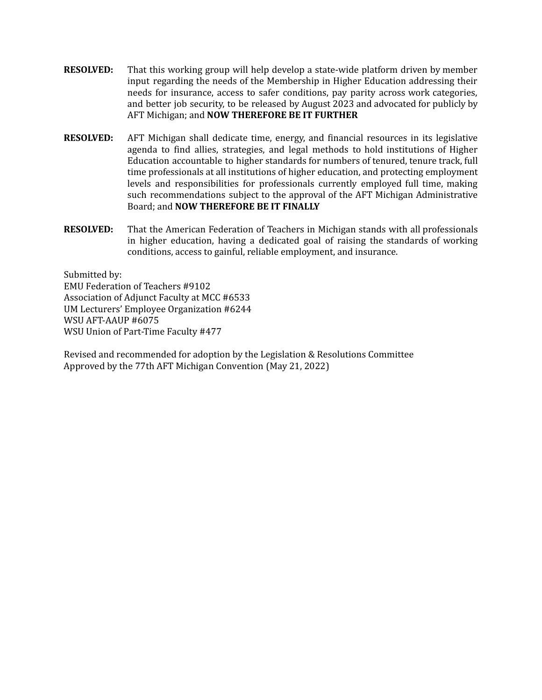- **RESOLVED:** That this working group will help develop a state-wide platform driven by member input regarding the needs of the Membership in Higher Education addressing their needs for insurance, access to safer conditions, pay parity across work categories, and better job security, to be released by August 2023 and advocated for publicly by AFT Michigan; and **NOW THEREFORE BE IT FURTHER**
- **RESOLVED:** AFT Michigan shall dedicate time, energy, and financial resources in its legislative agenda to find allies, strategies, and legal methods to hold institutions of Higher Education accountable to higher standards for numbers of tenured, tenure track, full time professionals at all institutions of higher education, and protecting employment levels and responsibilities for professionals currently employed full time, making such recommendations subject to the approval of the AFT Michigan Administrative Board; and **NOW THEREFORE BE IT FINALLY**
- **RESOLVED:** That the American Federation of Teachers in Michigan stands with all professionals in higher education, having a dedicated goal of raising the standards of working conditions, access to gainful, reliable employment, and insurance.

Submitted by: EMU Federation of Teachers #9102 Association of Adjunct Faculty at MCC #6533 UM Lecturers' Employee Organization #6244 WSU AFT-AAUP #6075 WSU Union of Part-Time Faculty #477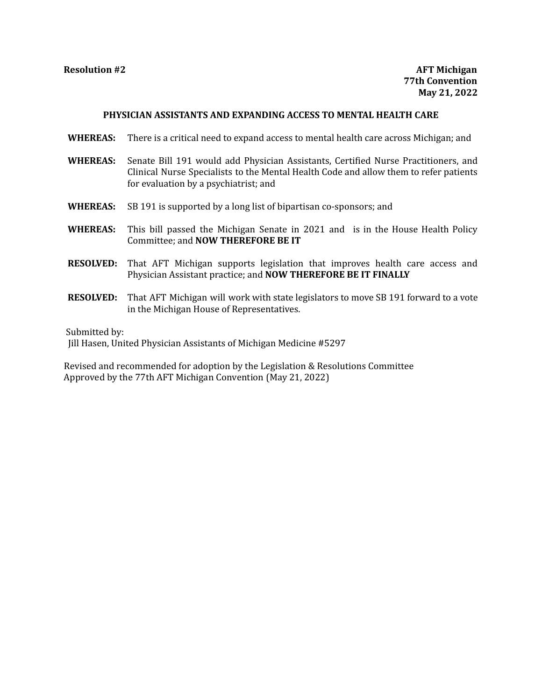# **PHYSICIAN ASSISTANTS AND EXPANDING ACCESS TO MENTAL HEALTH CARE**

- **WHEREAS:** There is a critical need to expand access to mental health care across Michigan; and
- **WHEREAS:** Senate Bill 191 would add Physician Assistants, Certified Nurse Practitioners, and Clinical Nurse Specialists to the Mental Health Code and allow them to refer patients for evaluation by a psychiatrist; and
- **WHEREAS:** SB 191 is supported by a long list of bipartisan co-sponsors; and
- **WHEREAS:** This bill passed the Michigan Senate in 2021 and is in the House Health Policy Committee; and **NOW THEREFORE BE IT**
- **RESOLVED:** That AFT Michigan supports legislation that improves health care access and Physician Assistant practice; and **NOW THEREFORE BE IT FINALLY**
- **RESOLVED:** That AFT Michigan will work with state legislators to move SB 191 forward to a vote in the Michigan House of Representatives.

Submitted by:

Jill Hasen, United Physician Assistants of Michigan Medicine #5297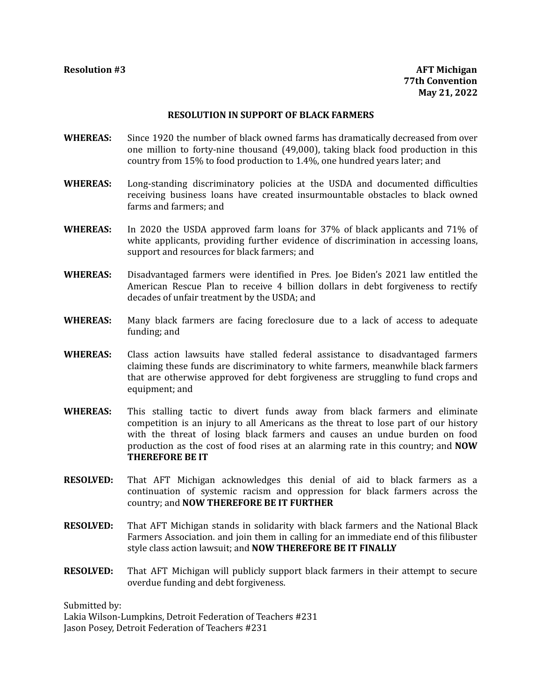# **RESOLUTION IN SUPPORT OF BLACK FARMERS**

- **WHEREAS:** Since 1920 the number of black owned farms has dramatically decreased from over one million to forty-nine thousand (49,000), taking black food production in this country from 15% to food production to 1.4%, one hundred years later; and
- **WHEREAS:** Long-standing discriminatory policies at the USDA and documented difficulties receiving business loans have created insurmountable obstacles to black owned farms and farmers; and
- **WHEREAS:** In 2020 the USDA approved farm loans for 37% of black applicants and 71% of white applicants, providing further evidence of discrimination in accessing loans, support and resources for black farmers; and
- **WHEREAS:** Disadvantaged farmers were identified in Pres. Joe Biden's 2021 law entitled the American Rescue Plan to receive 4 billion dollars in debt forgiveness to rectify decades of unfair treatment by the USDA; and
- **WHEREAS:** Many black farmers are facing foreclosure due to a lack of access to adequate funding; and
- **WHEREAS:** Class action lawsuits have stalled federal assistance to disadvantaged farmers claiming these funds are discriminatory to white farmers, meanwhile black farmers that are otherwise approved for debt forgiveness are struggling to fund crops and equipment; and
- **WHEREAS:** This stalling tactic to divert funds away from black farmers and eliminate competition is an injury to all Americans as the threat to lose part of our history with the threat of losing black farmers and causes an undue burden on food production as the cost of food rises at an alarming rate in this country; and **NOW THEREFORE BE IT**
- **RESOLVED:** That AFT Michigan acknowledges this denial of aid to black farmers as a continuation of systemic racism and oppression for black farmers across the country; and **NOW THEREFORE BE IT FURTHER**
- **RESOLVED:** That AFT Michigan stands in solidarity with black farmers and the National Black Farmers Association. and join them in calling for an immediate end of this filibuster style class action lawsuit; and **NOW THEREFORE BE IT FINALLY**
- **RESOLVED:** That AFT Michigan will publicly support black farmers in their attempt to secure overdue funding and debt forgiveness.

Submitted by:

Lakia Wilson-Lumpkins, Detroit Federation of Teachers #231 Jason Posey, Detroit Federation of Teachers #231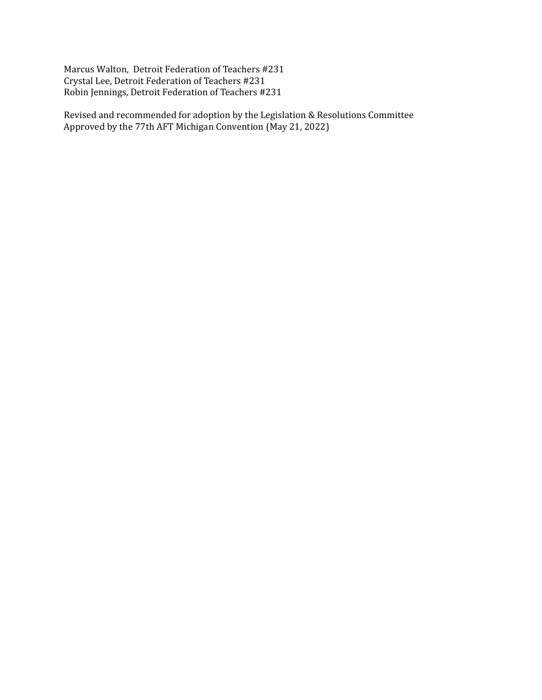Marcus Walton, Detroit Federation of Teachers #231 Crystal Lee, Detroit Federation of Teachers #231 Robin Jennings, Detroit Federation of Teachers #231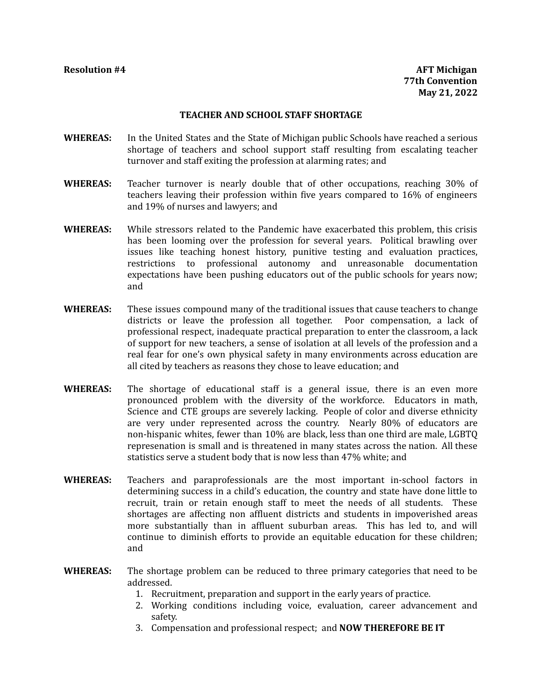## **TEACHER AND SCHOOL STAFF SHORTAGE**

- **WHEREAS:** In the United States and the State of Michigan public Schools have reached a serious shortage of teachers and school support staff resulting from escalating teacher turnover and staff exiting the profession at alarming rates; and
- **WHEREAS:** Teacher turnover is nearly double that of other occupations, reaching 30% of teachers leaving their profession within five years compared to 16% of engineers and 19% of nurses and lawyers; and
- **WHEREAS:** While stressors related to the Pandemic have exacerbated this problem, this crisis has been looming over the profession for several years. Political brawling over issues like teaching honest history, punitive testing and evaluation practices, restrictions to professional autonomy and unreasonable documentation expectations have been pushing educators out of the public schools for years now; and
- **WHEREAS:** These issues compound many of the traditional issues that cause teachers to change districts or leave the profession all together. Poor compensation, a lack of professional respect, inadequate practical preparation to enter the classroom, a lack of support for new teachers, a sense of isolation at all levels of the profession and a real fear for one's own physical safety in many environments across education are all cited by teachers as reasons they chose to leave education; and
- **WHEREAS:** The shortage of educational staff is a general issue, there is an even more pronounced problem with the diversity of the workforce. Educators in math, Science and CTE groups are severely lacking. People of color and diverse ethnicity are very under represented across the country. Nearly 80% of educators are non-hispanic whites, fewer than 10% are black, less than one third are male, LGBTQ represenation is small and is threatened in many states across the nation. All these statistics serve a student body that is now less than 47% white; and
- **WHEREAS:** Teachers and paraprofessionals are the most important in-school factors in determining success in a child's education, the country and state have done little to recruit, train or retain enough staff to meet the needs of all students. These shortages are affecting non affluent districts and students in impoverished areas more substantially than in affluent suburban areas. This has led to, and will continue to diminish efforts to provide an equitable education for these children; and
- **WHEREAS:** The shortage problem can be reduced to three primary categories that need to be addressed.
	- 1. Recruitment, preparation and support in the early years of practice.
	- 2. Working conditions including voice, evaluation, career advancement and safety.
	- 3. Compensation and professional respect; and **NOW THEREFORE BE IT**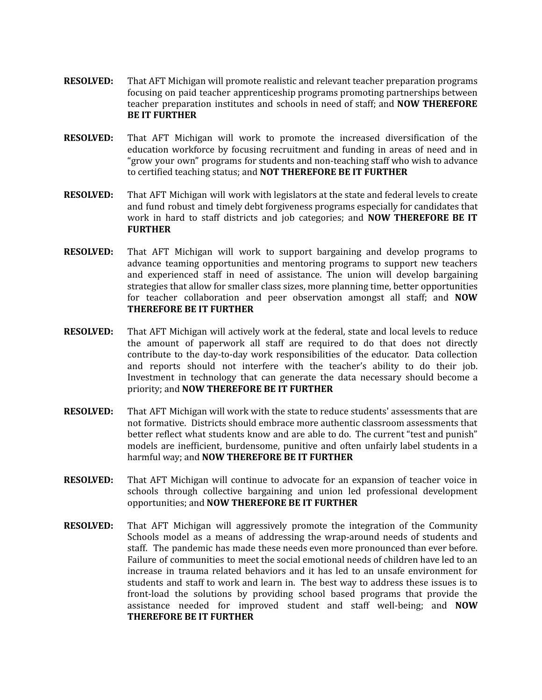- **RESOLVED:** That AFT Michigan will promote realistic and relevant teacher preparation programs focusing on paid teacher apprenticeship programs promoting partnerships between teacher preparation institutes and schools in need of staff; and **NOW THEREFORE BE IT FURTHER**
- **RESOLVED:** That AFT Michigan will work to promote the increased diversification of the education workforce by focusing recruitment and funding in areas of need and in "grow your own" programs for students and non-teaching staff who wish to advance to certified teaching status; and **NOT THEREFORE BE IT FURTHER**
- **RESOLVED:** That AFT Michigan will work with legislators at the state and federal levels to create and fund robust and timely debt forgiveness programs especially for candidates that work in hard to staff districts and job categories; and **NOW THEREFORE BE IT FURTHER**
- **RESOLVED:** That AFT Michigan will work to support bargaining and develop programs to advance teaming opportunities and mentoring programs to support new teachers and experienced staff in need of assistance. The union will develop bargaining strategies that allow for smaller class sizes, more planning time, better opportunities for teacher collaboration and peer observation amongst all staff; and **NOW THEREFORE BE IT FURTHER**
- **RESOLVED:** That AFT Michigan will actively work at the federal, state and local levels to reduce the amount of paperwork all staff are required to do that does not directly contribute to the day-to-day work responsibilities of the educator. Data collection and reports should not interfere with the teacher's ability to do their job. Investment in technology that can generate the data necessary should become a priority; and **NOW THEREFORE BE IT FURTHER**
- **RESOLVED:** That AFT Michigan will work with the state to reduce students' assessments that are not formative. Districts should embrace more authentic classroom assessments that better reflect what students know and are able to do. The current "test and punish" models are inefficient, burdensome, punitive and often unfairly label students in a harmful way; and **NOW THEREFORE BE IT FURTHER**
- **RESOLVED:** That AFT Michigan will continue to advocate for an expansion of teacher voice in schools through collective bargaining and union led professional development opportunities; and **NOW THEREFORE BE IT FURTHER**
- **RESOLVED:** That AFT Michigan will aggressively promote the integration of the Community Schools model as a means of addressing the wrap-around needs of students and staff. The pandemic has made these needs even more pronounced than ever before. Failure of communities to meet the social emotional needs of children have led to an increase in trauma related behaviors and it has led to an unsafe environment for students and staff to work and learn in. The best way to address these issues is to front-load the solutions by providing school based programs that provide the assistance needed for improved student and staff well-being; and **NOW THEREFORE BE IT FURTHER**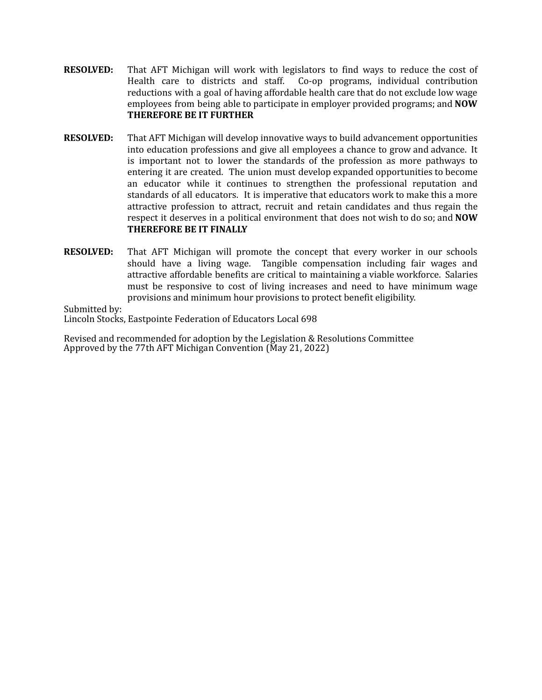- **RESOLVED:** That AFT Michigan will work with legislators to find ways to reduce the cost of Health care to districts and staff. Co-op programs, individual contribution Co-op programs, individual contribution reductions with a goal of having affordable health care that do not exclude low wage employees from being able to participate in employer provided programs; and **NOW THEREFORE BE IT FURTHER**
- **RESOLVED:** That AFT Michigan will develop innovative ways to build advancement opportunities into education professions and give all employees a chance to grow and advance. It is important not to lower the standards of the profession as more pathways to entering it are created. The union must develop expanded opportunities to become an educator while it continues to strengthen the professional reputation and standards of all educators. It is imperative that educators work to make this a more attractive profession to attract, recruit and retain candidates and thus regain the respect it deserves in a political environment that does not wish to do so; and **NOW THEREFORE BE IT FINALLY**
- **RESOLVED:** That AFT Michigan will promote the concept that every worker in our schools should have a living wage. Tangible compensation including fair wages and attractive affordable benefits are critical to maintaining a viable workforce. Salaries must be responsive to cost of living increases and need to have minimum wage provisions and minimum hour provisions to protect benefit eligibility.

Submitted by:

Lincoln Stocks, Eastpointe Federation of Educators Local 698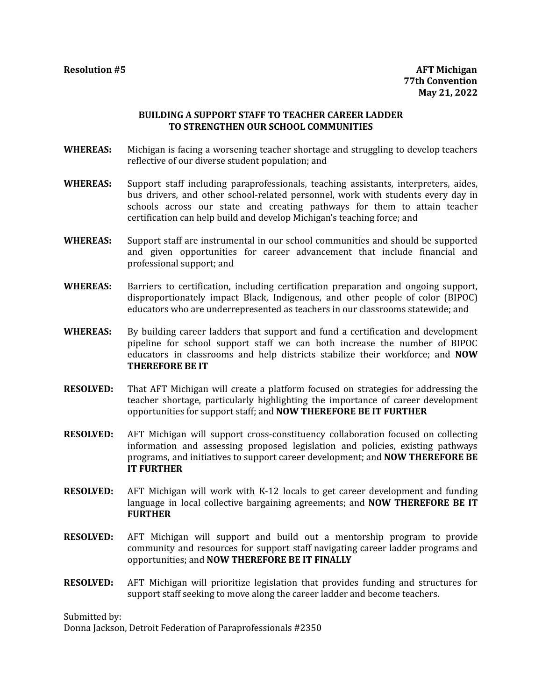# **BUILDING A SUPPORT STAFF TO TEACHER CAREER LADDER TO STRENGTHEN OUR SCHOOL COMMUNITIES**

- **WHEREAS:** Michigan is facing a worsening teacher shortage and struggling to develop teachers reflective of our diverse student population; and
- **WHEREAS:** Support staff including paraprofessionals, teaching assistants, interpreters, aides, bus drivers, and other school-related personnel, work with students every day in schools across our state and creating pathways for them to attain teacher certification can help build and develop Michigan's teaching force; and
- **WHEREAS:** Support staff are instrumental in our school communities and should be supported and given opportunities for career advancement that include financial and professional support; and
- **WHEREAS:** Barriers to certification, including certification preparation and ongoing support, disproportionately impact Black, Indigenous, and other people of color (BIPOC) educators who are underrepresented as teachers in our classrooms statewide; and
- **WHEREAS:** By building career ladders that support and fund a certification and development pipeline for school support staff we can both increase the number of BIPOC educators in classrooms and help districts stabilize their workforce; and **NOW THEREFORE BE IT**
- **RESOLVED:** That AFT Michigan will create a platform focused on strategies for addressing the teacher shortage, particularly highlighting the importance of career development opportunities for support staff; and **NOW THEREFORE BE IT FURTHER**
- **RESOLVED:** AFT Michigan will support cross-constituency collaboration focused on collecting information and assessing proposed legislation and policies, existing pathways programs, and initiatives to support career development; and **NOW THEREFORE BE IT FURTHER**
- **RESOLVED:** AFT Michigan will work with K-12 locals to get career development and funding language in local collective bargaining agreements; and **NOW THEREFORE BE IT FURTHER**
- **RESOLVED:** AFT Michigan will support and build out a mentorship program to provide community and resources for support staff navigating career ladder programs and opportunities; and **NOW THEREFORE BE IT FINALLY**
- **RESOLVED:** AFT Michigan will prioritize legislation that provides funding and structures for support staff seeking to move along the career ladder and become teachers.

Submitted by:

Donna Jackson, Detroit Federation of Paraprofessionals #2350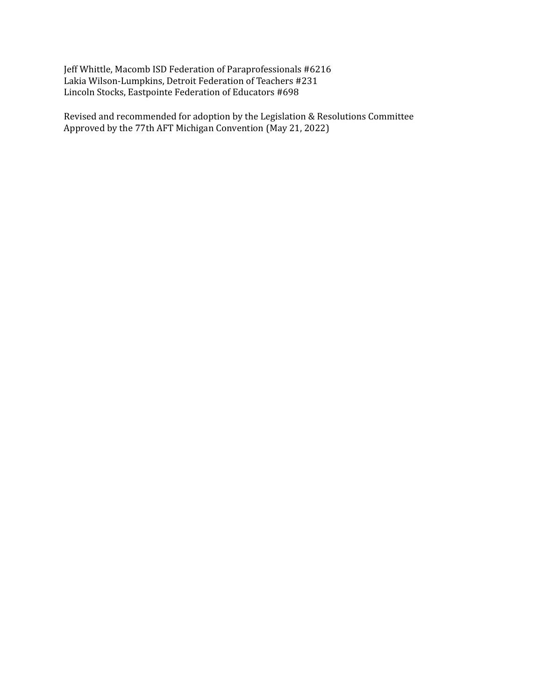Jeff Whittle, Macomb ISD Federation of Paraprofessionals #6216 Lakia Wilson-Lumpkins, Detroit Federation of Teachers #231 Lincoln Stocks, Eastpointe Federation of Educators #698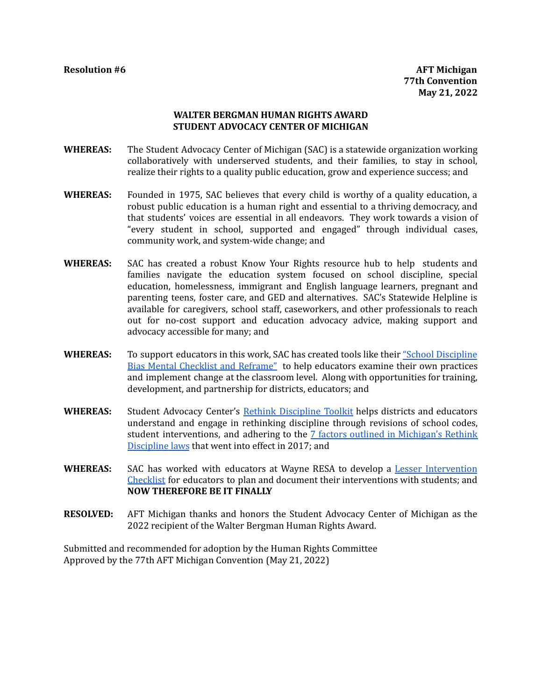# **WALTER BERGMAN HUMAN RIGHTS AWARD STUDENT ADVOCACY CENTER OF MICHIGAN**

- **WHEREAS:** The Student Advocacy Center of Michigan (SAC) is a statewide organization working collaboratively with underserved students, and their families, to stay in school, realize their rights to a quality public education, grow and experience success; and
- **WHEREAS:** Founded in 1975, SAC believes that every child is worthy of a quality education, a robust public education is a human right and essential to a thriving democracy, and that students' voices are essential in all endeavors. They work towards a vision of "every student in school, supported and engaged" through individual cases, community work, and system-wide change; and
- **WHEREAS:** SAC has created a robust Know Your Rights resource hub to help students and families navigate the education system focused on school discipline, special education, homelessness, immigrant and English language learners, pregnant and parenting teens, foster care, and GED and alternatives. SAC's Statewide Helpline is available for caregivers, school staff, caseworkers, and other professionals to reach out for no-cost support and education advocacy advice, making support and advocacy accessible for many; and
- WHEREAS: To support educators in this work, SAC has created tools like their ["School Discipline](https://docs.google.com/document/d/1nsDy1oYI71wkdrA59IDpzw69rB1YkN11_yX5xBHlWL8/edit)" [Bias Mental Checklist and Reframe"](https://docs.google.com/document/d/1nsDy1oYI71wkdrA59IDpzw69rB1YkN11_yX5xBHlWL8/edit) to help educators examine their own practices and implement change at the classroom level. Along with opportunities for training, development, and partnership for districts, educators; and
- **WHEREAS:** Student Advocacy Center's [Rethink Discipline Toolkit](https://www.studentadvocacycenter.org/rethink-discipline-toolkit/) helps districts and educators understand and engage in rethinking discipline through revisions of school codes, student interventions, and adhering to the [7 factors outlined in Michigan's Rethink](https://docs.google.com/document/d/1L2d72P8v-NQPAMLQ_Fyju8CdiKtfw7RD8Yx1okSqgbs/edit) [Discipline laws](https://docs.google.com/document/d/1L2d72P8v-NQPAMLQ_Fyju8CdiKtfw7RD8Yx1okSqgbs/edit) that went into effect in 2017; and
- **WHEREAS:** SAC has worked with educators at Wayne RESA to develop a [Lesser Intervention](https://docs.google.com/document/d/1rxNiDc9tjwIsgzQORdpHAAQZdBPhvndqrK7ulfKJJVc/edit) [Checklist](https://docs.google.com/document/d/1rxNiDc9tjwIsgzQORdpHAAQZdBPhvndqrK7ulfKJJVc/edit) for educators to plan and document their interventions with students; and **NOW THEREFORE BE IT FINALLY**
- **RESOLVED:** AFT Michigan thanks and honors the Student Advocacy Center of Michigan as the 2022 recipient of the Walter Bergman Human Rights Award.

Submitted and recommended for adoption by the Human Rights Committee Approved by the 77th AFT Michigan Convention (May 21, 2022)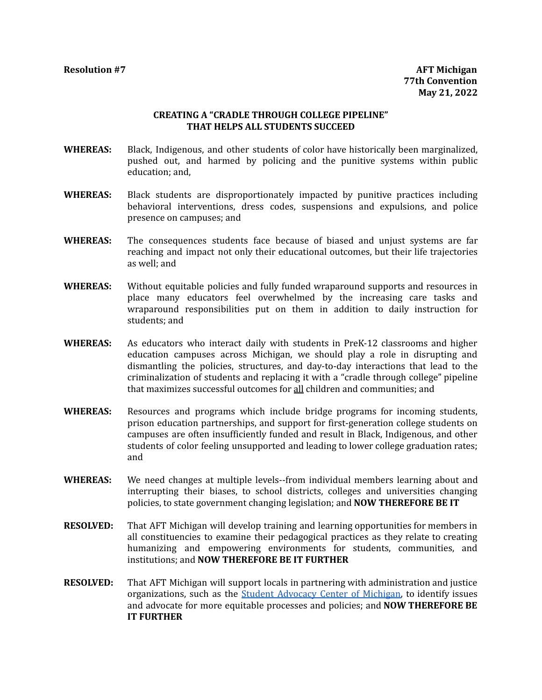# **CREATING A "CRADLE THROUGH COLLEGE PIPELINE" THAT HELPS ALL STUDENTS SUCCEED**

- **WHEREAS:** Black, Indigenous, and other students of color have historically been marginalized, pushed out, and harmed by policing and the punitive systems within public education; and,
- **WHEREAS:** Black students are disproportionately impacted by punitive practices including behavioral interventions, dress codes, suspensions and expulsions, and police presence on campuses; and
- **WHEREAS:** The consequences students face because of biased and unjust systems are far reaching and impact not only their educational outcomes, but their life trajectories as well; and
- **WHEREAS:** Without equitable policies and fully funded wraparound supports and resources in place many educators feel overwhelmed by the increasing care tasks and wraparound responsibilities put on them in addition to daily instruction for students; and
- **WHEREAS:** As educators who interact daily with students in PreK-12 classrooms and higher education campuses across Michigan, we should play a role in disrupting and dismantling the policies, structures, and day-to-day interactions that lead to the criminalization of students and replacing it with a "cradle through college" pipeline that maximizes successful outcomes for all children and communities; and
- **WHEREAS:** Resources and programs which include bridge programs for incoming students, prison education partnerships, and support for first-generation college students on campuses are often insufficiently funded and result in Black, Indigenous, and other students of color feeling unsupported and leading to lower college graduation rates; and
- **WHEREAS:** We need changes at multiple levels--from individual members learning about and interrupting their biases, to school districts, colleges and universities changing policies, to state government changing legislation; and **NOW THEREFORE BE IT**
- **RESOLVED:** That AFT Michigan will develop training and learning opportunities for members in all constituencies to examine their pedagogical practices as they relate to creating humanizing and empowering environments for students, communities, and institutions; and **NOW THEREFORE BE IT FURTHER**
- **RESOLVED:** That AFT Michigan will support locals in partnering with administration and justice organizations, such as the [Student Advocacy Center of Michigan,](https://www.studentadvocacycenter.org/) to identify issues and advocate for more equitable processes and policies; and **NOW THEREFORE BE IT FURTHER**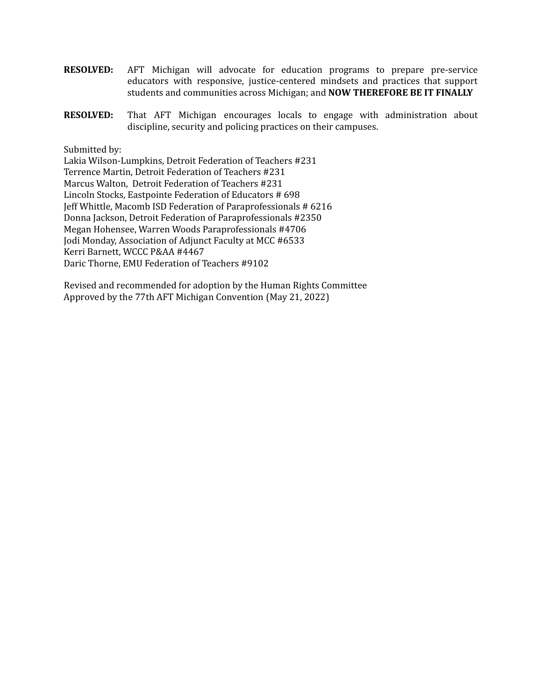- **RESOLVED:** AFT Michigan will advocate for education programs to prepare pre-service educators with responsive, justice-centered mindsets and practices that support students and communities across Michigan; and **NOW THEREFORE BE IT FINALLY**
- **RESOLVED:** That AFT Michigan encourages locals to engage with administration about discipline, security and policing practices on their campuses.

Submitted by:

Lakia Wilson-Lumpkins, Detroit Federation of Teachers #231 Terrence Martin, Detroit Federation of Teachers #231 Marcus Walton, Detroit Federation of Teachers #231 Lincoln Stocks, Eastpointe Federation of Educators # 698 Jeff Whittle, Macomb ISD Federation of Paraprofessionals # 6216 Donna Jackson, Detroit Federation of Paraprofessionals #2350 Megan Hohensee, Warren Woods Paraprofessionals #4706 Jodi Monday, Association of Adjunct Faculty at MCC #6533 Kerri Barnett, WCCC P&AA #4467 Daric Thorne, EMU Federation of Teachers #9102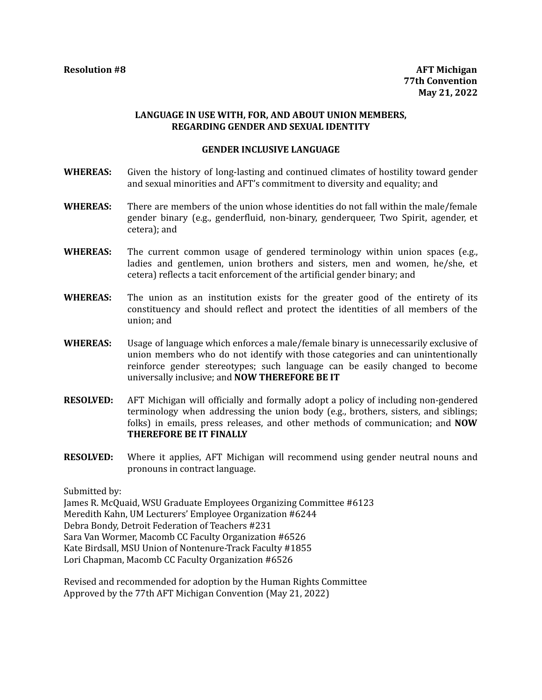# **LANGUAGE IN USE WITH, FOR, AND ABOUT UNION MEMBERS, REGARDING GENDER AND SEXUAL IDENTITY**

#### **GENDER INCLUSIVE LANGUAGE**

- **WHEREAS:** Given the history of long-lasting and continued climates of hostility toward gender and sexual minorities and AFT's commitment to diversity and equality; and
- **WHEREAS:** There are members of the union whose identities do not fall within the male/female gender binary (e.g., genderfluid, non-binary, genderqueer, Two Spirit, agender, et cetera); and
- **WHEREAS:** The current common usage of gendered terminology within union spaces (e.g., ladies and gentlemen, union brothers and sisters, men and women, he/she, et cetera) reflects a tacit enforcement of the artificial gender binary; and
- **WHEREAS:** The union as an institution exists for the greater good of the entirety of its constituency and should reflect and protect the identities of all members of the union; and
- **WHEREAS:** Usage of language which enforces a male/female binary is unnecessarily exclusive of union members who do not identify with those categories and can unintentionally reinforce gender stereotypes; such language can be easily changed to become universally inclusive; and **NOW THEREFORE BE IT**
- **RESOLVED:** AFT Michigan will officially and formally adopt a policy of including non-gendered terminology when addressing the union body (e.g., brothers, sisters, and siblings; folks) in emails, press releases, and other methods of communication; and **NOW THEREFORE BE IT FINALLY**
- **RESOLVED:** Where it applies, AFT Michigan will recommend using gender neutral nouns and pronouns in contract language.

Submitted by:

James R. McQuaid, WSU Graduate Employees Organizing Committee #6123 Meredith Kahn, UM Lecturers' Employee Organization #6244 Debra Bondy, Detroit Federation of Teachers #231 Sara Van Wormer, Macomb CC Faculty Organization #6526 Kate Birdsall, MSU Union of Nontenure-Track Faculty #1855 Lori Chapman, Macomb CC Faculty Organization #6526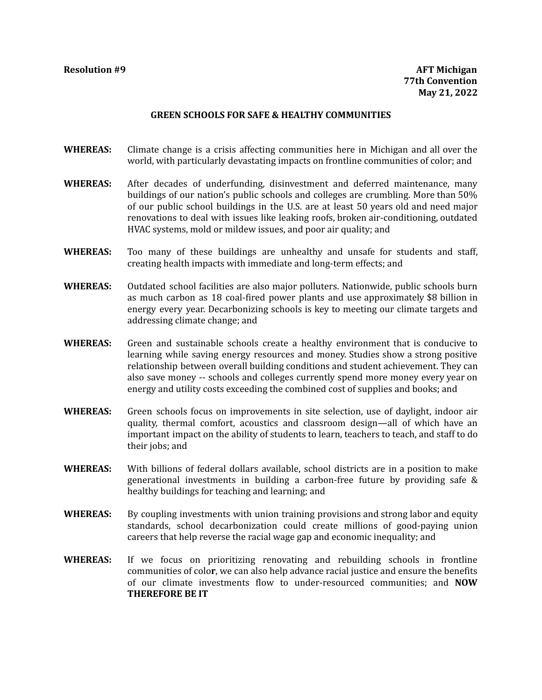## **GREEN SCHOOLS FOR SAFE & HEALTHY COMMUNITIES**

- **WHEREAS:** Climate change is a crisis affecting communities here in Michigan and all over the world, with particularly devastating impacts on frontline communities of color; and
- **WHEREAS:** After decades of underfunding, disinvestment and deferred maintenance, many buildings of our nation's public schools and colleges are crumbling. More than 50% of our public school buildings in the U.S. are at least 50 years old and need major renovations to deal with issues like leaking roofs, broken air-conditioning, outdated HVAC systems, mold or mildew issues, and poor air quality; and
- **WHEREAS:** Too many of these buildings are unhealthy and unsafe for students and staff, creating health impacts with immediate and long-term effects; and
- **WHEREAS:** Outdated school facilities are also major polluters. Nationwide, public schools burn as much carbon as 18 coal-fired power plants and use approximately \$8 billion in energy every year. Decarbonizing schools is key to meeting our climate targets and addressing climate change; and
- **WHEREAS:** Green and sustainable schools create a healthy environment that is conducive to learning while saving energy resources and money. Studies show a strong positive relationship between overall building conditions and student achievement. They can also save money -- schools and colleges currently spend more money every year on energy and utility costs exceeding the combined cost of supplies and books; and
- **WHEREAS:** Green schools focus on improvements in site selection, use of daylight, indoor air quality, thermal comfort, acoustics and classroom design—all of which have an important impact on the ability of students to learn, teachers to teach, and staff to do their jobs; and
- **WHEREAS:** With billions of federal dollars available, school districts are in a position to make generational investments in building a carbon-free future by providing safe & healthy buildings for teaching and learning; and
- **WHEREAS:** By coupling investments with union training provisions and strong labor and equity standards, school decarbonization could create millions of good-paying union careers that help reverse the racial wage gap and economic inequality; and
- **WHEREAS:** If we focus on prioritizing renovating and rebuilding schools in frontline communities of colo**r**, we can also help advance racial justice and ensure the benefits of our climate investments flow to under-resourced communities; and **NOW THEREFORE BE IT**